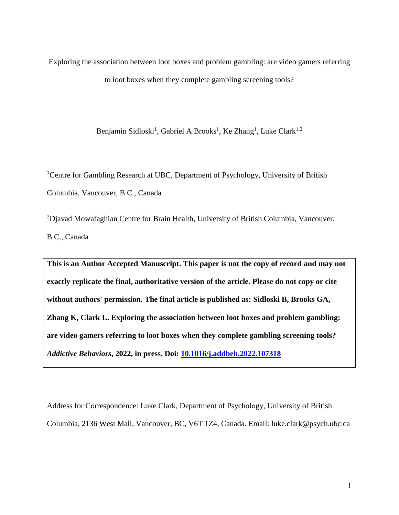Exploring the association between loot boxes and problem gambling: are video gamers referring to loot boxes when they complete gambling screening tools?

Benjamin Sidloski<sup>1</sup>, Gabriel A Brooks<sup>1</sup>, Ke Zhang<sup>1</sup>, Luke Clark<sup>1,2</sup>

<sup>1</sup>Centre for Gambling Research at UBC, Department of Psychology, University of British Columbia, Vancouver, B.C., Canada

<sup>2</sup>Djavad Mowafaghian Centre for Brain Health, University of British Columbia, Vancouver, B.C., Canada

**This is an Author Accepted Manuscript. This paper is not the copy of record and may not exactly replicate the final, authoritative version of the article. Please do not copy or cite without authors' permission. The final article is published as: Sidloski B, Brooks GA, Zhang K, Clark L. Exploring the association between loot boxes and problem gambling: are video gamers referring to loot boxes when they complete gambling screening tools?** *Addictive Behaviors***, 2022, in press. Doi: [10.1016/j.addbeh.2022.107318](https://doi.org/10.1016/j.addbeh.2022.107318)**

Address for Correspondence: Luke Clark, Department of Psychology, University of British Columbia, 2136 West Mall, Vancouver, BC, V6T 1Z4, Canada. Email: luke.clark@psych.ubc.ca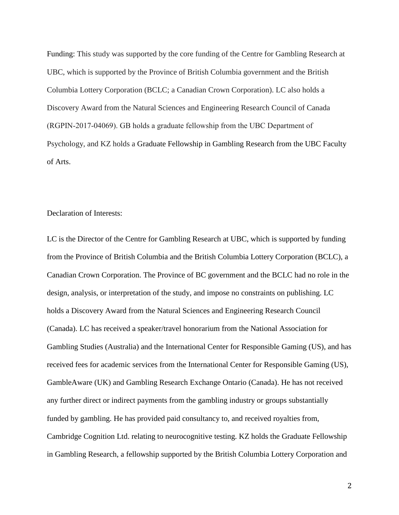Funding: This study was supported by the core funding of the Centre for Gambling Research at UBC, which is supported by the Province of British Columbia government and the British Columbia Lottery Corporation (BCLC; a Canadian Crown Corporation). LC also holds a Discovery Award from the Natural Sciences and Engineering Research Council of Canada (RGPIN‐2017‐04069). GB holds a graduate fellowship from the UBC Department of Psychology, and KZ holds a Graduate Fellowship in Gambling Research from the UBC Faculty of Arts.

# Declaration of Interests:

LC is the Director of the Centre for Gambling Research at UBC, which is supported by funding from the Province of British Columbia and the British Columbia Lottery Corporation (BCLC), a Canadian Crown Corporation. The Province of BC government and the BCLC had no role in the design, analysis, or interpretation of the study, and impose no constraints on publishing. LC holds a Discovery Award from the Natural Sciences and Engineering Research Council (Canada). LC has received a speaker/travel honorarium from the National Association for Gambling Studies (Australia) and the International Center for Responsible Gaming (US), and has received fees for academic services from the International Center for Responsible Gaming (US), GambleAware (UK) and Gambling Research Exchange Ontario (Canada). He has not received any further direct or indirect payments from the gambling industry or groups substantially funded by gambling. He has provided paid consultancy to, and received royalties from, Cambridge Cognition Ltd. relating to neurocognitive testing. KZ holds the Graduate Fellowship in Gambling Research, a fellowship supported by the British Columbia Lottery Corporation and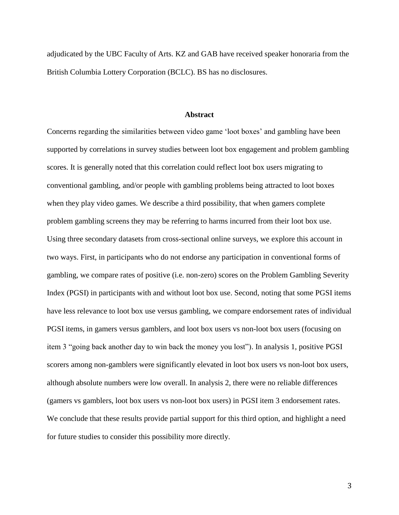adjudicated by the UBC Faculty of Arts. KZ and GAB have received speaker honoraria from the British Columbia Lottery Corporation (BCLC). BS has no disclosures.

## **Abstract**

Concerns regarding the similarities between video game 'loot boxes' and gambling have been supported by correlations in survey studies between loot box engagement and problem gambling scores. It is generally noted that this correlation could reflect loot box users migrating to conventional gambling, and/or people with gambling problems being attracted to loot boxes when they play video games. We describe a third possibility, that when gamers complete problem gambling screens they may be referring to harms incurred from their loot box use. Using three secondary datasets from cross-sectional online surveys, we explore this account in two ways. First, in participants who do not endorse any participation in conventional forms of gambling, we compare rates of positive (i.e. non-zero) scores on the Problem Gambling Severity Index (PGSI) in participants with and without loot box use. Second, noting that some PGSI items have less relevance to loot box use versus gambling, we compare endorsement rates of individual PGSI items, in gamers versus gamblers, and loot box users vs non-loot box users (focusing on item 3 "going back another day to win back the money you lost"). In analysis 1, positive PGSI scorers among non-gamblers were significantly elevated in loot box users vs non-loot box users, although absolute numbers were low overall. In analysis 2, there were no reliable differences (gamers vs gamblers, loot box users vs non-loot box users) in PGSI item 3 endorsement rates. We conclude that these results provide partial support for this third option, and highlight a need for future studies to consider this possibility more directly.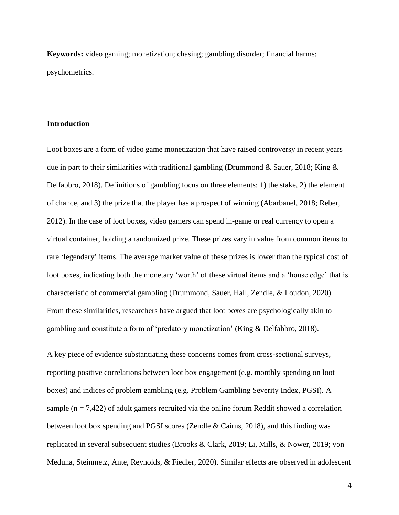**Keywords:** video gaming; monetization; chasing; gambling disorder; financial harms; psychometrics.

# **Introduction**

Loot boxes are a form of video game monetization that have raised controversy in recent years due in part to their similarities with traditional gambling (Drummond & Sauer, 2018; King & Delfabbro, 2018). Definitions of gambling focus on three elements: 1) the stake, 2) the element of chance, and 3) the prize that the player has a prospect of winning (Abarbanel, 2018; Reber, 2012). In the case of loot boxes, video gamers can spend in-game or real currency to open a virtual container, holding a randomized prize. These prizes vary in value from common items to rare 'legendary' items. The average market value of these prizes is lower than the typical cost of loot boxes, indicating both the monetary 'worth' of these virtual items and a 'house edge' that is characteristic of commercial gambling (Drummond, Sauer, Hall, Zendle, & Loudon, 2020). From these similarities, researchers have argued that loot boxes are psychologically akin to gambling and constitute a form of 'predatory monetization' (King & Delfabbro, 2018).

A key piece of evidence substantiating these concerns comes from cross-sectional surveys, reporting positive correlations between loot box engagement (e.g. monthly spending on loot boxes) and indices of problem gambling (e.g. Problem Gambling Severity Index, PGSI). A sample ( $n = 7,422$ ) of adult gamers recruited via the online forum Reddit showed a correlation between loot box spending and PGSI scores (Zendle & Cairns, 2018), and this finding was replicated in several subsequent studies (Brooks & Clark, 2019; Li, Mills, & Nower, 2019; von Meduna, Steinmetz, Ante, Reynolds, & Fiedler, 2020). Similar effects are observed in adolescent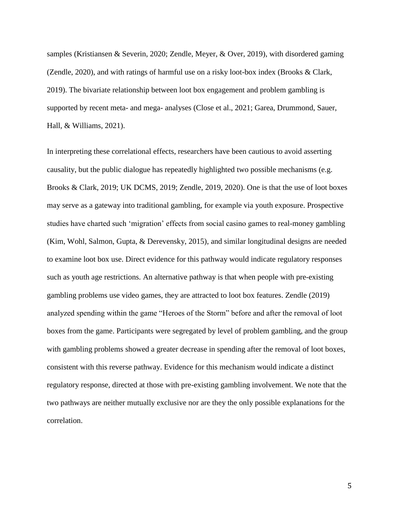samples (Kristiansen & Severin, 2020; Zendle, Meyer, & Over, 2019), with disordered gaming (Zendle, 2020), and with ratings of harmful use on a risky loot-box index (Brooks & Clark, 2019). The bivariate relationship between loot box engagement and problem gambling is supported by recent meta- and mega- analyses (Close et al., 2021; Garea, Drummond, Sauer, Hall, & Williams, 2021).

In interpreting these correlational effects, researchers have been cautious to avoid asserting causality, but the public dialogue has repeatedly highlighted two possible mechanisms (e.g. Brooks & Clark, 2019; UK DCMS, 2019; Zendle, 2019, 2020). One is that the use of loot boxes may serve as a gateway into traditional gambling, for example via youth exposure. Prospective studies have charted such 'migration' effects from social casino games to real-money gambling (Kim, Wohl, Salmon, Gupta, & Derevensky, 2015), and similar longitudinal designs are needed to examine loot box use. Direct evidence for this pathway would indicate regulatory responses such as youth age restrictions. An alternative pathway is that when people with pre-existing gambling problems use video games, they are attracted to loot box features. Zendle (2019) analyzed spending within the game "Heroes of the Storm" before and after the removal of loot boxes from the game. Participants were segregated by level of problem gambling, and the group with gambling problems showed a greater decrease in spending after the removal of loot boxes, consistent with this reverse pathway. Evidence for this mechanism would indicate a distinct regulatory response, directed at those with pre-existing gambling involvement. We note that the two pathways are neither mutually exclusive nor are they the only possible explanations for the correlation.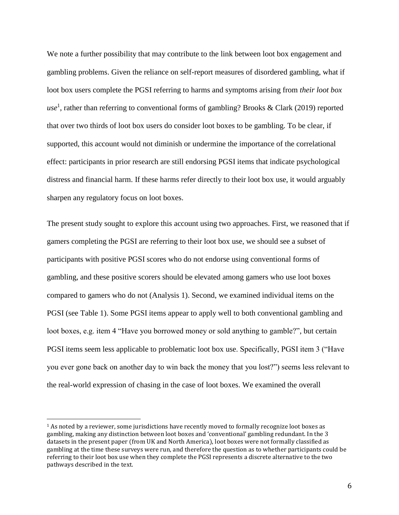We note a further possibility that may contribute to the link between loot box engagement and gambling problems. Given the reliance on self-report measures of disordered gambling, what if loot box users complete the PGSI referring to harms and symptoms arising from *their loot box use*<sup>1</sup> , rather than referring to conventional forms of gambling? Brooks & Clark (2019) reported that over two thirds of loot box users do consider loot boxes to be gambling. To be clear, if supported, this account would not diminish or undermine the importance of the correlational effect: participants in prior research are still endorsing PGSI items that indicate psychological distress and financial harm. If these harms refer directly to their loot box use, it would arguably sharpen any regulatory focus on loot boxes.

The present study sought to explore this account using two approaches. First, we reasoned that if gamers completing the PGSI are referring to their loot box use, we should see a subset of participants with positive PGSI scores who do not endorse using conventional forms of gambling, and these positive scorers should be elevated among gamers who use loot boxes compared to gamers who do not (Analysis 1). Second, we examined individual items on the PGSI (see Table 1). Some PGSI items appear to apply well to both conventional gambling and loot boxes, e.g. item 4 "Have you borrowed money or sold anything to gamble?", but certain PGSI items seem less applicable to problematic loot box use. Specifically, PGSI item 3 ("Have you ever gone back on another day to win back the money that you lost?") seems less relevant to the real-world expression of chasing in the case of loot boxes. We examined the overall

 $\overline{\phantom{a}}$ 

<sup>&</sup>lt;sup>1</sup> As noted by a reviewer, some jurisdictions have recently moved to formally recognize loot boxes as gambling, making any distinction between loot boxes and 'conventional' gambling redundant. In the 3 datasets in the present paper (from UK and North America), loot boxes were not formally classified as gambling at the time these surveys were run, and therefore the question as to whether participants could be referring to their loot box use when they complete the PGSI represents a discrete alternative to the two pathways described in the text.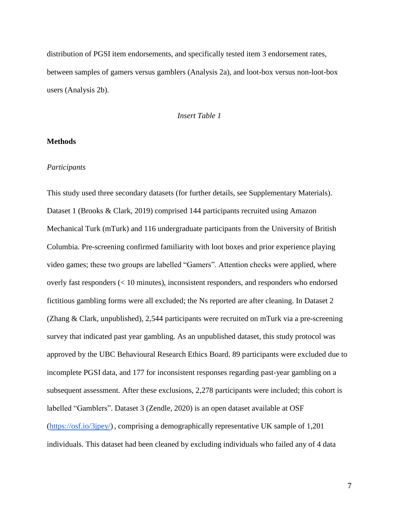distribution of PGSI item endorsements, and specifically tested item 3 endorsement rates, between samples of gamers versus gamblers (Analysis 2a), and loot-box versus non-loot-box users (Analysis 2b).

## *Insert Table 1*

# **Methods**

# *Participants*

This study used three secondary datasets (for further details, see Supplementary Materials). Dataset 1 (Brooks & Clark, 2019) comprised 144 participants recruited using Amazon Mechanical Turk (mTurk) and 116 undergraduate participants from the University of British Columbia. Pre-screening confirmed familiarity with loot boxes and prior experience playing video games; these two groups are labelled "Gamers". Attention checks were applied, where overly fast responders (< 10 minutes), inconsistent responders, and responders who endorsed fictitious gambling forms were all excluded; the Ns reported are after cleaning. In Dataset 2 (Zhang & Clark, unpublished), 2,544 participants were recruited on mTurk via a pre-screening survey that indicated past year gambling. As an unpublished dataset, this study protocol was approved by the UBC Behavioural Research Ethics Board. 89 participants were excluded due to incomplete PGSI data, and 177 for inconsistent responses regarding past-year gambling on a subsequent assessment. After these exclusions, 2,278 participants were included; this cohort is labelled "Gamblers". Dataset 3 (Zendle, 2020) is an open dataset available at OSF [\(https://osf.io/3jpey/\)](https://osf.io/3jpey/), comprising a demographically representative UK sample of 1,201 individuals. This dataset had been cleaned by excluding individuals who failed any of 4 data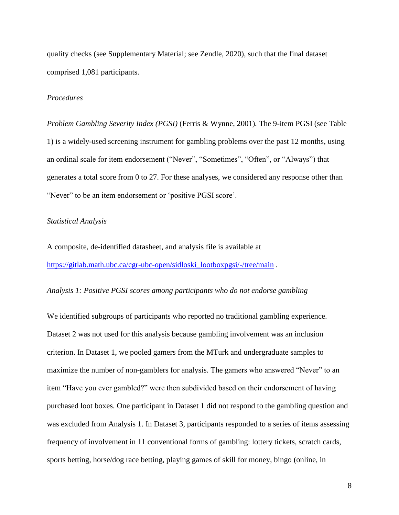quality checks (see Supplementary Material; see Zendle, 2020), such that the final dataset comprised 1,081 participants.

# *Procedures*

*Problem Gambling Severity Index (PGSI)* (Ferris & Wynne, 2001)*.* The 9-item PGSI (see Table 1) is a widely-used screening instrument for gambling problems over the past 12 months, using an ordinal scale for item endorsement ("Never", "Sometimes", "Often", or "Always") that generates a total score from 0 to 27. For these analyses, we considered any response other than "Never" to be an item endorsement or 'positive PGSI score'.

#### *Statistical Analysis*

A composite, de-identified datasheet, and analysis file is available at [https://gitlab.math.ubc.ca/cgr-ubc-open/sidloski\\_lootboxpgsi/-/tree/main](https://gitlab.math.ubc.ca/cgr-ubc-open/sidloski_lootboxpgsi/-/tree/main).

# *Analysis 1: Positive PGSI scores among participants who do not endorse gambling*

We identified subgroups of participants who reported no traditional gambling experience. Dataset 2 was not used for this analysis because gambling involvement was an inclusion criterion. In Dataset 1, we pooled gamers from the MTurk and undergraduate samples to maximize the number of non-gamblers for analysis. The gamers who answered "Never" to an item "Have you ever gambled?" were then subdivided based on their endorsement of having purchased loot boxes. One participant in Dataset 1 did not respond to the gambling question and was excluded from Analysis 1. In Dataset 3, participants responded to a series of items assessing frequency of involvement in 11 conventional forms of gambling: lottery tickets, scratch cards, sports betting, horse/dog race betting, playing games of skill for money, bingo (online, in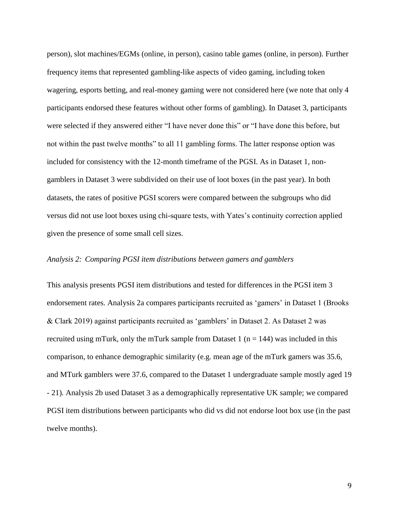person), slot machines/EGMs (online, in person), casino table games (online, in person). Further frequency items that represented gambling-like aspects of video gaming, including token wagering, esports betting, and real-money gaming were not considered here (we note that only 4 participants endorsed these features without other forms of gambling). In Dataset 3, participants were selected if they answered either "I have never done this" or "I have done this before, but not within the past twelve months" to all 11 gambling forms. The latter response option was included for consistency with the 12-month timeframe of the PGSI. As in Dataset 1, nongamblers in Dataset 3 were subdivided on their use of loot boxes (in the past year). In both datasets, the rates of positive PGSI scorers were compared between the subgroups who did versus did not use loot boxes using chi-square tests, with Yates's continuity correction applied given the presence of some small cell sizes.

# *Analysis 2: Comparing PGSI item distributions between gamers and gamblers*

This analysis presents PGSI item distributions and tested for differences in the PGSI item 3 endorsement rates. Analysis 2a compares participants recruited as 'gamers' in Dataset 1 (Brooks & Clark 2019) against participants recruited as 'gamblers' in Dataset 2. As Dataset 2 was recruited using mTurk, only the mTurk sample from Dataset 1 ( $n = 144$ ) was included in this comparison, to enhance demographic similarity (e.g. mean age of the mTurk gamers was 35.6, and MTurk gamblers were 37.6, compared to the Dataset 1 undergraduate sample mostly aged 19 - 21)*.* Analysis 2b used Dataset 3 as a demographically representative UK sample; we compared PGSI item distributions between participants who did vs did not endorse loot box use (in the past twelve months).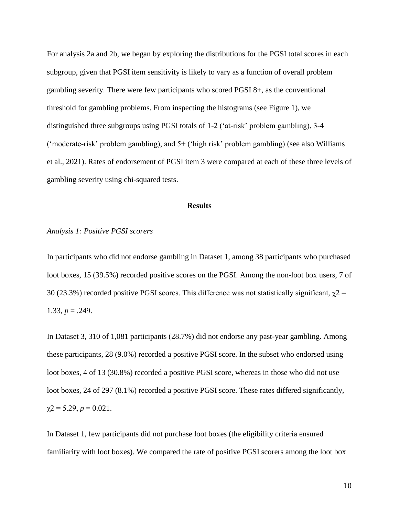For analysis 2a and 2b, we began by exploring the distributions for the PGSI total scores in each subgroup, given that PGSI item sensitivity is likely to vary as a function of overall problem gambling severity. There were few participants who scored PGSI 8+, as the conventional threshold for gambling problems. From inspecting the histograms (see Figure 1), we distinguished three subgroups using PGSI totals of 1-2 ('at-risk' problem gambling), 3-4 ('moderate-risk' problem gambling), and 5+ ('high risk' problem gambling) (see also Williams et al., 2021). Rates of endorsement of PGSI item 3 were compared at each of these three levels of gambling severity using chi-squared tests.

#### **Results**

# *Analysis 1: Positive PGSI scorers*

In participants who did not endorse gambling in Dataset 1, among 38 participants who purchased loot boxes, 15 (39.5%) recorded positive scores on the PGSI. Among the non-loot box users, 7 of 30 (23.3%) recorded positive PGSI scores. This difference was not statistically significant,  $\chi$ 2 = 1.33,  $p = .249$ .

In Dataset 3, 310 of 1,081 participants (28.7%) did not endorse any past-year gambling. Among these participants, 28 (9.0%) recorded a positive PGSI score. In the subset who endorsed using loot boxes, 4 of 13 (30.8%) recorded a positive PGSI score, whereas in those who did not use loot boxes, 24 of 297 (8.1%) recorded a positive PGSI score. These rates differed significantly,  $\gamma$ 2 = 5.29, *p* = 0.021.

In Dataset 1, few participants did not purchase loot boxes (the eligibility criteria ensured familiarity with loot boxes). We compared the rate of positive PGSI scorers among the loot box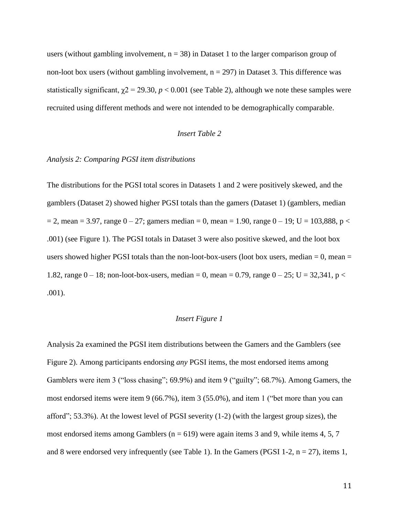users (without gambling involvement,  $n = 38$ ) in Dataset 1 to the larger comparison group of non-loot box users (without gambling involvement,  $n = 297$ ) in Dataset 3. This difference was statistically significant,  $\chi$ 2 = 29.30, *p* < 0.001 (see Table 2), although we note these samples were recruited using different methods and were not intended to be demographically comparable.

# *Insert Table 2*

## *Analysis 2: Comparing PGSI item distributions*

The distributions for the PGSI total scores in Datasets 1 and 2 were positively skewed, and the gamblers (Dataset 2) showed higher PGSI totals than the gamers (Dataset 1) (gamblers, median  $= 2$ , mean  $= 3.97$ , range  $0 - 27$ ; gamers median  $= 0$ , mean  $= 1.90$ , range  $0 - 19$ ; U  $= 103,888$ , p  $<$ .001) (see Figure 1). The PGSI totals in Dataset 3 were also positive skewed, and the loot box users showed higher PGSI totals than the non-loot-box-users (loot box users, median  $= 0$ , mean  $=$ 1.82, range  $0 - 18$ ; non-loot-box-users, median = 0, mean = 0.79, range  $0 - 25$ ; U = 32,341, p < .001).

# *Insert Figure 1*

Analysis 2a examined the PGSI item distributions between the Gamers and the Gamblers (see Figure 2). Among participants endorsing *any* PGSI items, the most endorsed items among Gamblers were item 3 ("loss chasing"; 69.9%) and item 9 ("guilty"; 68.7%). Among Gamers, the most endorsed items were item 9 (66.7%), item 3 (55.0%), and item 1 ("bet more than you can afford"; 53.3%). At the lowest level of PGSI severity (1-2) (with the largest group sizes), the most endorsed items among Gamblers ( $n = 619$ ) were again items 3 and 9, while items 4, 5, 7 and 8 were endorsed very infrequently (see Table 1). In the Gamers (PGSI 1-2,  $n = 27$ ), items 1,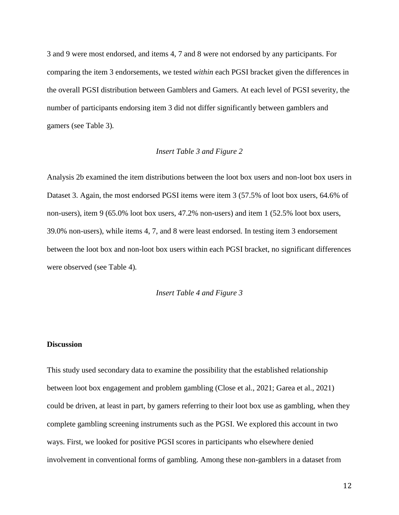3 and 9 were most endorsed, and items 4, 7 and 8 were not endorsed by any participants. For comparing the item 3 endorsements, we tested *within* each PGSI bracket given the differences in the overall PGSI distribution between Gamblers and Gamers. At each level of PGSI severity, the number of participants endorsing item 3 did not differ significantly between gamblers and gamers (see Table 3)*.* 

# *Insert Table 3 and Figure 2*

Analysis 2b examined the item distributions between the loot box users and non-loot box users in Dataset 3. Again, the most endorsed PGSI items were item 3 (57.5% of loot box users, 64.6% of non-users), item 9 (65.0% loot box users, 47.2% non-users) and item 1 (52.5% loot box users, 39.0% non-users), while items 4, 7, and 8 were least endorsed. In testing item 3 endorsement between the loot box and non-loot box users within each PGSI bracket, no significant differences were observed (see Table 4)*.*

### *Insert Table 4 and Figure 3*

# **Discussion**

This study used secondary data to examine the possibility that the established relationship between loot box engagement and problem gambling (Close et al., 2021; Garea et al., 2021) could be driven, at least in part, by gamers referring to their loot box use as gambling, when they complete gambling screening instruments such as the PGSI. We explored this account in two ways. First, we looked for positive PGSI scores in participants who elsewhere denied involvement in conventional forms of gambling. Among these non-gamblers in a dataset from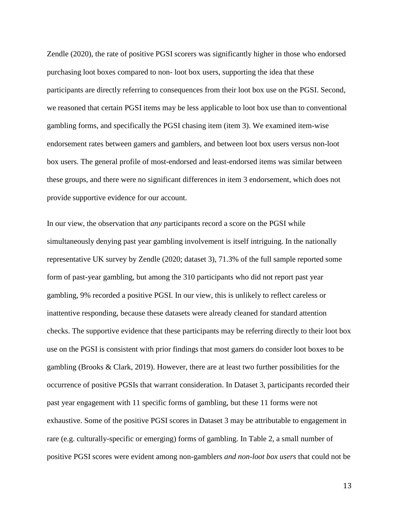Zendle (2020), the rate of positive PGSI scorers was significantly higher in those who endorsed purchasing loot boxes compared to non- loot box users, supporting the idea that these participants are directly referring to consequences from their loot box use on the PGSI. Second, we reasoned that certain PGSI items may be less applicable to loot box use than to conventional gambling forms, and specifically the PGSI chasing item (item 3). We examined item-wise endorsement rates between gamers and gamblers, and between loot box users versus non-loot box users. The general profile of most-endorsed and least-endorsed items was similar between these groups, and there were no significant differences in item 3 endorsement, which does not provide supportive evidence for our account.

In our view, the observation that *any* participants record a score on the PGSI while simultaneously denying past year gambling involvement is itself intriguing. In the nationally representative UK survey by Zendle (2020; dataset 3), 71.3% of the full sample reported some form of past-year gambling, but among the 310 participants who did not report past year gambling, 9% recorded a positive PGSI. In our view, this is unlikely to reflect careless or inattentive responding, because these datasets were already cleaned for standard attention checks. The supportive evidence that these participants may be referring directly to their loot box use on the PGSI is consistent with prior findings that most gamers do consider loot boxes to be gambling (Brooks & Clark, 2019). However, there are at least two further possibilities for the occurrence of positive PGSIs that warrant consideration. In Dataset 3, participants recorded their past year engagement with 11 specific forms of gambling, but these 11 forms were not exhaustive. Some of the positive PGSI scores in Dataset 3 may be attributable to engagement in rare (e.g. culturally-specific or emerging) forms of gambling. In Table 2, a small number of positive PGSI scores were evident among non-gamblers *and non-loot box users* that could not be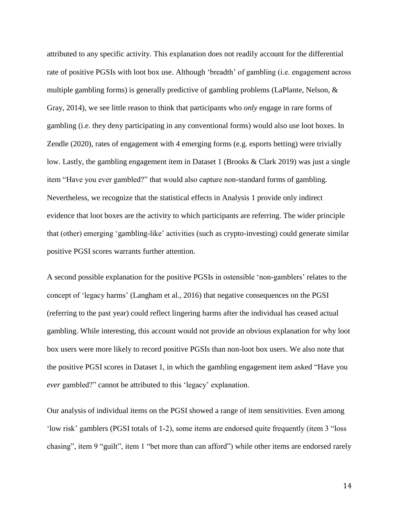attributed to any specific activity. This explanation does not readily account for the differential rate of positive PGSIs with loot box use. Although 'breadth' of gambling (i.e. engagement across multiple gambling forms) is generally predictive of gambling problems (LaPlante, Nelson, & Gray, 2014), we see little reason to think that participants who *only* engage in rare forms of gambling (i.e. they deny participating in any conventional forms) would also use loot boxes. In Zendle (2020), rates of engagement with 4 emerging forms (e.g. esports betting) were trivially low. Lastly, the gambling engagement item in Dataset 1 (Brooks & Clark 2019) was just a single item "Have you ever gambled?" that would also capture non-standard forms of gambling. Nevertheless, we recognize that the statistical effects in Analysis 1 provide only indirect evidence that loot boxes are the activity to which participants are referring. The wider principle that (other) emerging 'gambling-like' activities (such as crypto-investing) could generate similar positive PGSI scores warrants further attention.

A second possible explanation for the positive PGSIs in ostensible 'non-gamblers' relates to the concept of 'legacy harms' (Langham et al., 2016) that negative consequences on the PGSI (referring to the past year) could reflect lingering harms after the individual has ceased actual gambling. While interesting, this account would not provide an obvious explanation for why loot box users were more likely to record positive PGSIs than non-loot box users. We also note that the positive PGSI scores in Dataset 1, in which the gambling engagement item asked "Have you *ever* gambled?" cannot be attributed to this 'legacy' explanation.

Our analysis of individual items on the PGSI showed a range of item sensitivities. Even among 'low risk' gamblers (PGSI totals of 1-2), some items are endorsed quite frequently (item 3 "loss chasing", item 9 "guilt", item 1 "bet more than can afford") while other items are endorsed rarely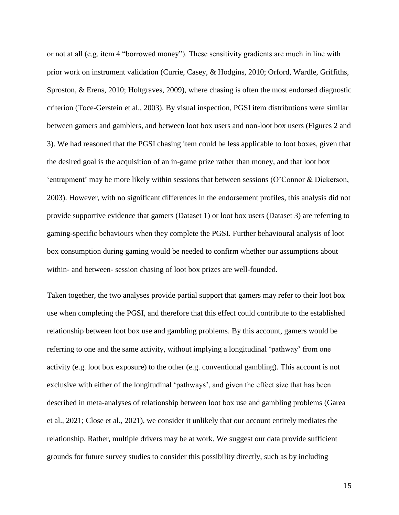or not at all (e.g. item 4 "borrowed money"). These sensitivity gradients are much in line with prior work on instrument validation (Currie, Casey, & Hodgins, 2010; Orford, Wardle, Griffiths, Sproston, & Erens, 2010; Holtgraves, 2009), where chasing is often the most endorsed diagnostic criterion (Toce-Gerstein et al., 2003). By visual inspection, PGSI item distributions were similar between gamers and gamblers, and between loot box users and non-loot box users (Figures 2 and 3). We had reasoned that the PGSI chasing item could be less applicable to loot boxes, given that the desired goal is the acquisition of an in-game prize rather than money, and that loot box 'entrapment' may be more likely within sessions that between sessions (O'Connor & Dickerson, 2003). However, with no significant differences in the endorsement profiles, this analysis did not provide supportive evidence that gamers (Dataset 1) or loot box users (Dataset 3) are referring to gaming-specific behaviours when they complete the PGSI. Further behavioural analysis of loot box consumption during gaming would be needed to confirm whether our assumptions about within- and between- session chasing of loot box prizes are well-founded.

Taken together, the two analyses provide partial support that gamers may refer to their loot box use when completing the PGSI, and therefore that this effect could contribute to the established relationship between loot box use and gambling problems. By this account, gamers would be referring to one and the same activity, without implying a longitudinal 'pathway' from one activity (e.g. loot box exposure) to the other (e.g. conventional gambling). This account is not exclusive with either of the longitudinal 'pathways', and given the effect size that has been described in meta-analyses of relationship between loot box use and gambling problems (Garea et al., 2021; Close et al., 2021), we consider it unlikely that our account entirely mediates the relationship. Rather, multiple drivers may be at work. We suggest our data provide sufficient grounds for future survey studies to consider this possibility directly, such as by including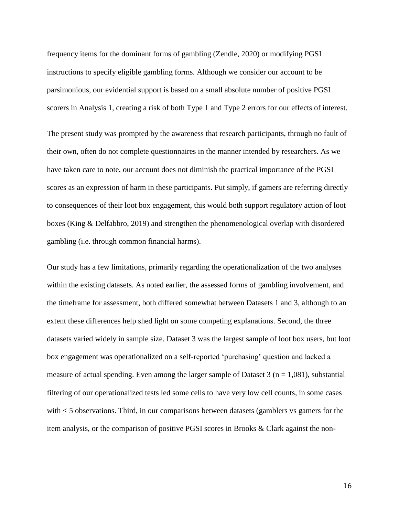frequency items for the dominant forms of gambling (Zendle, 2020) or modifying PGSI instructions to specify eligible gambling forms. Although we consider our account to be parsimonious, our evidential support is based on a small absolute number of positive PGSI scorers in Analysis 1, creating a risk of both Type 1 and Type 2 errors for our effects of interest.

The present study was prompted by the awareness that research participants, through no fault of their own, often do not complete questionnaires in the manner intended by researchers. As we have taken care to note, our account does not diminish the practical importance of the PGSI scores as an expression of harm in these participants. Put simply, if gamers are referring directly to consequences of their loot box engagement, this would both support regulatory action of loot boxes (King & Delfabbro, 2019) and strengthen the phenomenological overlap with disordered gambling (i.e. through common financial harms).

Our study has a few limitations, primarily regarding the operationalization of the two analyses within the existing datasets. As noted earlier, the assessed forms of gambling involvement, and the timeframe for assessment, both differed somewhat between Datasets 1 and 3, although to an extent these differences help shed light on some competing explanations. Second, the three datasets varied widely in sample size. Dataset 3 was the largest sample of loot box users, but loot box engagement was operationalized on a self-reported 'purchasing' question and lacked a measure of actual spending. Even among the larger sample of Dataset  $3$  (n = 1,081), substantial filtering of our operationalized tests led some cells to have very low cell counts, in some cases with < 5 observations. Third, in our comparisons between datasets (gamblers vs gamers for the item analysis, or the comparison of positive PGSI scores in Brooks & Clark against the non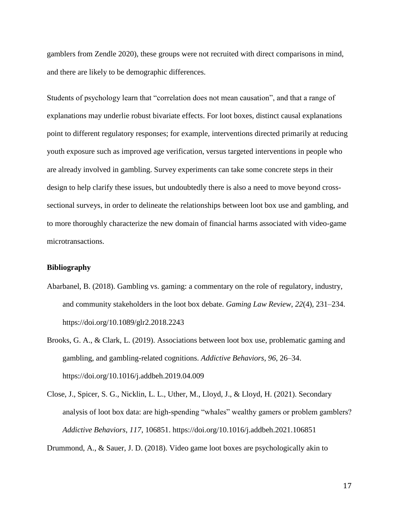gamblers from Zendle 2020), these groups were not recruited with direct comparisons in mind, and there are likely to be demographic differences.

Students of psychology learn that "correlation does not mean causation", and that a range of explanations may underlie robust bivariate effects. For loot boxes, distinct causal explanations point to different regulatory responses; for example, interventions directed primarily at reducing youth exposure such as improved age verification, versus targeted interventions in people who are already involved in gambling. Survey experiments can take some concrete steps in their design to help clarify these issues, but undoubtedly there is also a need to move beyond crosssectional surveys, in order to delineate the relationships between loot box use and gambling, and to more thoroughly characterize the new domain of financial harms associated with video-game microtransactions.

### **Bibliography**

- Abarbanel, B. (2018). Gambling vs. gaming: a commentary on the role of regulatory, industry, and community stakeholders in the loot box debate. *Gaming Law Review*, *22*(4), 231–234. https://doi.org/10.1089/glr2.2018.2243
- Brooks, G. A., & Clark, L. (2019). Associations between loot box use, problematic gaming and gambling, and gambling-related cognitions. *Addictive Behaviors*, *96*, 26–34. https://doi.org/10.1016/j.addbeh.2019.04.009
- Close, J., Spicer, S. G., Nicklin, L. L., Uther, M., Lloyd, J., & Lloyd, H. (2021). Secondary analysis of loot box data: are high-spending "whales" wealthy gamers or problem gamblers? *Addictive Behaviors*, *117*, 106851. https://doi.org/10.1016/j.addbeh.2021.106851

Drummond, A., & Sauer, J. D. (2018). Video game loot boxes are psychologically akin to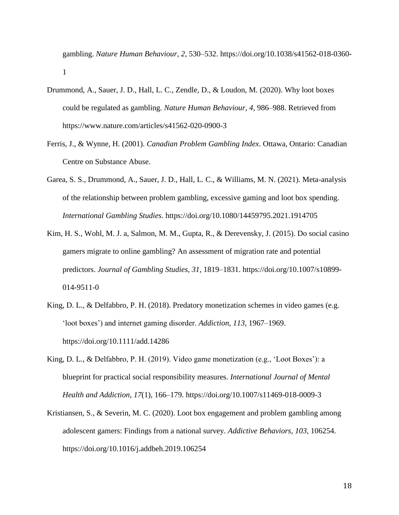gambling. *Nature Human Behaviour*, *2*, 530–532. https://doi.org/10.1038/s41562-018-0360- 1

- Drummond, A., Sauer, J. D., Hall, L. C., Zendle, D., & Loudon, M. (2020). Why loot boxes could be regulated as gambling. *Nature Human Behaviour*, *4*, 986–988. Retrieved from https://www.nature.com/articles/s41562-020-0900-3
- Ferris, J., & Wynne, H. (2001). *Canadian Problem Gambling Index*. Ottawa, Ontario: Canadian Centre on Substance Abuse.
- Garea, S. S., Drummond, A., Sauer, J. D., Hall, L. C., & Williams, M. N. (2021). Meta-analysis of the relationship between problem gambling, excessive gaming and loot box spending. *International Gambling Studies*. https://doi.org/10.1080/14459795.2021.1914705
- Kim, H. S., Wohl, M. J. a, Salmon, M. M., Gupta, R., & Derevensky, J. (2015). Do social casino gamers migrate to online gambling? An assessment of migration rate and potential predictors. *Journal of Gambling Studies*, *31*, 1819–1831. https://doi.org/10.1007/s10899- 014-9511-0
- King, D. L., & Delfabbro, P. H. (2018). Predatory monetization schemes in video games (e.g. 'loot boxes') and internet gaming disorder. *Addiction*, *113*, 1967–1969. https://doi.org/10.1111/add.14286
- King, D. L., & Delfabbro, P. H. (2019). Video game monetization (e.g., 'Loot Boxes'): a blueprint for practical social responsibility measures. *International Journal of Mental Health and Addiction*, *17*(1), 166–179. https://doi.org/10.1007/s11469-018-0009-3
- Kristiansen, S., & Severin, M. C. (2020). Loot box engagement and problem gambling among adolescent gamers: Findings from a national survey. *Addictive Behaviors*, *103*, 106254. https://doi.org/10.1016/j.addbeh.2019.106254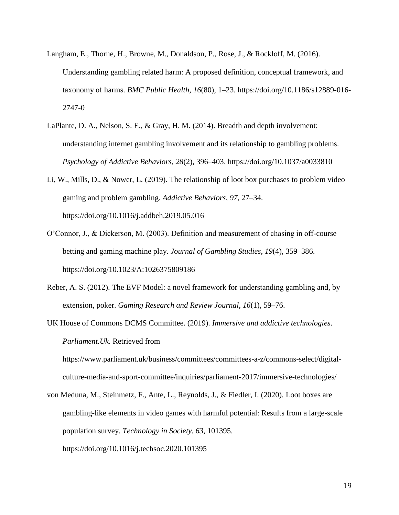- Langham, E., Thorne, H., Browne, M., Donaldson, P., Rose, J., & Rockloff, M. (2016). Understanding gambling related harm: A proposed definition, conceptual framework, and taxonomy of harms. *BMC Public Health*, *16*(80), 1–23. https://doi.org/10.1186/s12889-016- 2747-0
- LaPlante, D. A., Nelson, S. E., & Gray, H. M. (2014). Breadth and depth involvement: understanding internet gambling involvement and its relationship to gambling problems. *Psychology of Addictive Behaviors*, *28*(2), 396–403. https://doi.org/10.1037/a0033810
- Li, W., Mills, D., & Nower, L. (2019). The relationship of loot box purchases to problem video gaming and problem gambling. *Addictive Behaviors*, *97*, 27–34. https://doi.org/10.1016/j.addbeh.2019.05.016
- O'Connor, J., & Dickerson, M. (2003). Definition and measurement of chasing in off-course betting and gaming machine play. *Journal of Gambling Studies*, *19*(4), 359–386. https://doi.org/10.1023/A:1026375809186
- Reber, A. S. (2012). The EVF Model: a novel framework for understanding gambling and, by extension, poker. *Gaming Research and Review Journal*, *16*(1), 59–76.
- UK House of Commons DCMS Committee. (2019). *Immersive and addictive technologies*. *Parliament.Uk*. Retrieved from

https://www.parliament.uk/business/committees/committees-a-z/commons-select/digitalculture-media-and-sport-committee/inquiries/parliament-2017/immersive-technologies/

von Meduna, M., Steinmetz, F., Ante, L., Reynolds, J., & Fiedler, I. (2020). Loot boxes are gambling-like elements in video games with harmful potential: Results from a large-scale population survey. *Technology in Society*, *63*, 101395. https://doi.org/10.1016/j.techsoc.2020.101395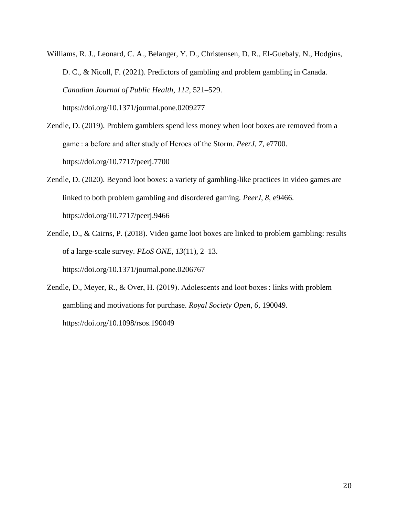Williams, R. J., Leonard, C. A., Belanger, Y. D., Christensen, D. R., El-Guebaly, N., Hodgins, D. C., & Nicoll, F. (2021). Predictors of gambling and problem gambling in Canada. *Canadian Journal of Public Health*, *112*, 521–529. https://doi.org/10.1371/journal.pone.0209277

Zendle, D. (2019). Problem gamblers spend less money when loot boxes are removed from a game : a before and after study of Heroes of the Storm. *PeerJ*, *7*, e7700. https://doi.org/10.7717/peerj.7700

Zendle, D. (2020). Beyond loot boxes: a variety of gambling-like practices in video games are linked to both problem gambling and disordered gaming. *PeerJ*, *8*, e9466. https://doi.org/10.7717/peerj.9466

Zendle, D., & Cairns, P. (2018). Video game loot boxes are linked to problem gambling: results of a large-scale survey. *PLoS ONE*, *13*(11), 2–13. https://doi.org/10.1371/journal.pone.0206767

Zendle, D., Meyer, R., & Over, H. (2019). Adolescents and loot boxes : links with problem gambling and motivations for purchase. *Royal Society Open*, *6*, 190049. https://doi.org/10.1098/rsos.190049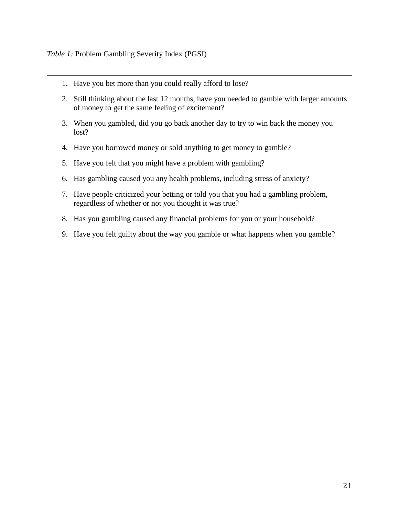- 1. Have you bet more than you could really afford to lose?
- 2. Still thinking about the last 12 months, have you needed to gamble with larger amounts of money to get the same feeling of excitement?
- 3. When you gambled, did you go back another day to try to win back the money you lost?
- 4. Have you borrowed money or sold anything to get money to gamble?
- 5. Have you felt that you might have a problem with gambling?
- 6. Has gambling caused you any health problems, including stress of anxiety?
- 7. Have people criticized your betting or told you that you had a gambling problem, regardless of whether or not you thought it was true?
- 8. Has you gambling caused any financial problems for you or your household?
- 9. Have you felt guilty about the way you gamble or what happens when you gamble?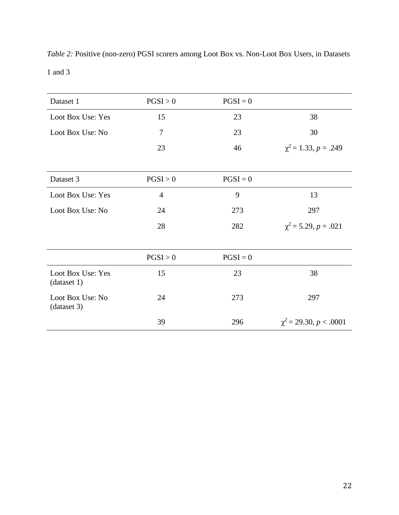*Table 2:* Positive (non-zero) PGSI scorers among Loot Box vs. Non-Loot Box Users, in Datasets 1 and 3

| Dataset 1                        | PGSI > 0       | $PGSI = 0$ |                             |
|----------------------------------|----------------|------------|-----------------------------|
| Loot Box Use: Yes                | 15             | 23         | 38                          |
| Loot Box Use: No                 | 7              | 23         | 30                          |
|                                  | 23             | 46         | $\chi^2$ = 1.33, p = .249   |
|                                  |                |            |                             |
| Dataset 3                        | PGSI > 0       | $PGSI = 0$ |                             |
| Loot Box Use: Yes                | $\overline{4}$ | 9          | 13                          |
| Loot Box Use: No                 | 24             | 273        | 297                         |
|                                  | 28             | 282        | $\chi^2$ = 5.29, p = .021   |
|                                  |                |            |                             |
|                                  | PGSI > 0       | $PGSI = 0$ |                             |
| Loot Box Use: Yes<br>(dataset 1) | 15             | 23         | 38                          |
| Loot Box Use: No<br>(dataset 3)  | 24             | 273        | 297                         |
|                                  | 39             | 296        | $\chi^2$ = 29.30, p < .0001 |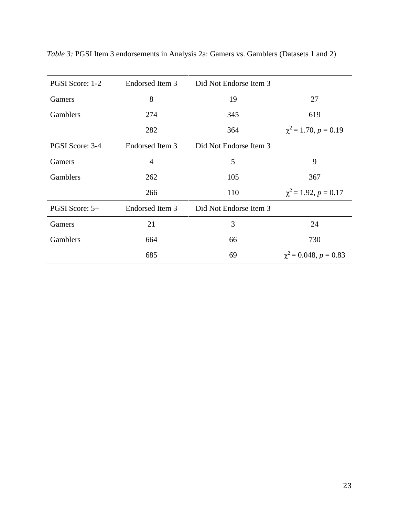| PGSI Score: 1-2 | Endorsed Item 3 | Did Not Endorse Item 3 |                            |
|-----------------|-----------------|------------------------|----------------------------|
| Gamers          | 8               | 19                     | 27                         |
| Gamblers        | 274             | 345                    | 619                        |
|                 | 282             | 364                    | $\chi^2$ = 1.70, p = 0.19  |
| PGSI Score: 3-4 | Endorsed Item 3 | Did Not Endorse Item 3 |                            |
| Gamers          | 4               | 5                      | 9                          |
| Gamblers        | 262             | 105                    | 367                        |
|                 | 266             | 110                    | $\chi^2$ = 1.92, p = 0.17  |
| PGSI Score: 5+  | Endorsed Item 3 | Did Not Endorse Item 3 |                            |
| Gamers          | 21              | 3                      | 24                         |
| Gamblers        | 664             | 66                     | 730                        |
|                 | 685             | 69                     | $\chi^2$ = 0.048, p = 0.83 |

*Table 3:* PGSI Item 3 endorsements in Analysis 2a: Gamers vs. Gamblers (Datasets 1 and 2)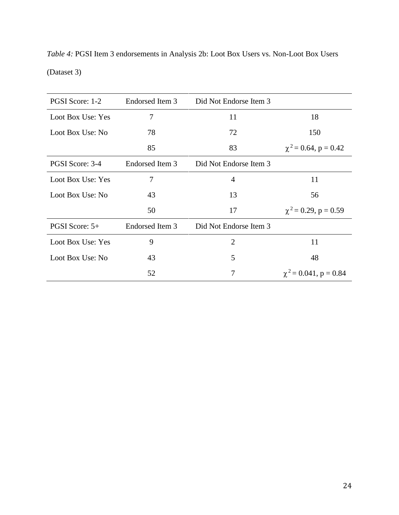| PGSI Score: 1-2   | Endorsed Item 3 | Did Not Endorse Item 3 |                            |  |
|-------------------|-----------------|------------------------|----------------------------|--|
| Loot Box Use: Yes | 7               | 11                     | 18                         |  |
| Loot Box Use: No  | 78              | 72                     | 150                        |  |
|                   | 85              | 83                     | $\chi^2$ = 0.64, p = 0.42  |  |
| PGSI Score: 3-4   | Endorsed Item 3 | Did Not Endorse Item 3 |                            |  |
| Loot Box Use: Yes | 7               | $\overline{4}$         | 11                         |  |
| Loot Box Use: No  | 43              | 13                     | 56                         |  |
|                   | 50              | 17                     | $\chi^2$ = 0.29, p = 0.59  |  |
| PGSI Score: $5+$  | Endorsed Item 3 | Did Not Endorse Item 3 |                            |  |
| Loot Box Use: Yes | 9               | $\overline{2}$         | 11                         |  |
| Loot Box Use: No  | 43              | 5                      | 48                         |  |
|                   | 52              | 7                      | $\chi^2$ = 0.041, p = 0.84 |  |

*Table 4:* PGSI Item 3 endorsements in Analysis 2b: Loot Box Users vs. Non-Loot Box Users (Dataset 3)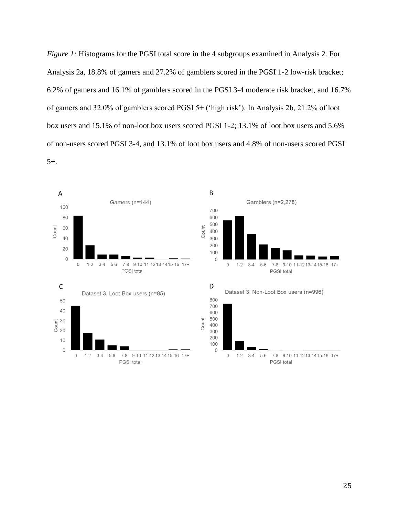*Figure 1:* Histograms for the PGSI total score in the 4 subgroups examined in Analysis 2. For Analysis 2a, 18.8% of gamers and 27.2% of gamblers scored in the PGSI 1-2 low-risk bracket; 6.2% of gamers and 16.1% of gamblers scored in the PGSI 3-4 moderate risk bracket, and 16.7% of gamers and 32.0% of gamblers scored PGSI 5+ ('high risk'). In Analysis 2b, 21.2% of loot box users and 15.1% of non-loot box users scored PGSI 1-2; 13.1% of loot box users and 5.6% of non-users scored PGSI 3-4, and 13.1% of loot box users and 4.8% of non-users scored PGSI 5+.

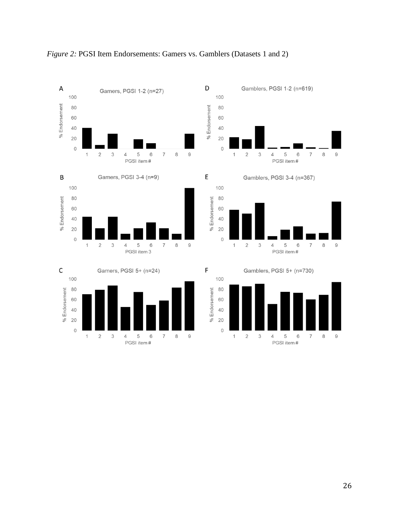

# *Figure 2:* PGSI Item Endorsements: Gamers vs. Gamblers (Datasets 1 and 2)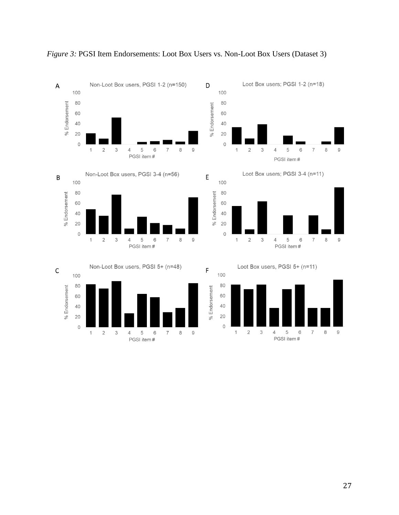

*Figure 3: PGSI Item Endorsements: Loot Box Users vs. Non-Loot Box Users (Dataset 3)*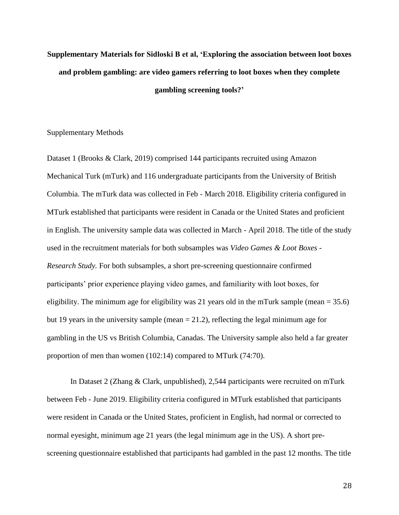# **Supplementary Materials for Sidloski B et al, 'Exploring the association between loot boxes and problem gambling: are video gamers referring to loot boxes when they complete gambling screening tools?'**

# Supplementary Methods

Dataset 1 (Brooks & Clark, 2019) comprised 144 participants recruited using Amazon Mechanical Turk (mTurk) and 116 undergraduate participants from the University of British Columbia. The mTurk data was collected in Feb - March 2018. Eligibility criteria configured in MTurk established that participants were resident in Canada or the United States and proficient in English. The university sample data was collected in March - April 2018. The title of the study used in the recruitment materials for both subsamples was *Video Games & Loot Boxes - Research Study.* For both subsamples, a short pre-screening questionnaire confirmed participants' prior experience playing video games, and familiarity with loot boxes, for eligibility. The minimum age for eligibility was 21 years old in the mTurk sample (mean  $= 35.6$ ) but 19 years in the university sample (mean  $= 21.2$ ), reflecting the legal minimum age for gambling in the US vs British Columbia, Canadas. The University sample also held a far greater proportion of men than women (102:14) compared to MTurk (74:70).

In Dataset 2 (Zhang & Clark, unpublished), 2,544 participants were recruited on mTurk between Feb - June 2019. Eligibility criteria configured in MTurk established that participants were resident in Canada or the United States, proficient in English, had normal or corrected to normal eyesight, minimum age 21 years (the legal minimum age in the US). A short prescreening questionnaire established that participants had gambled in the past 12 months. The title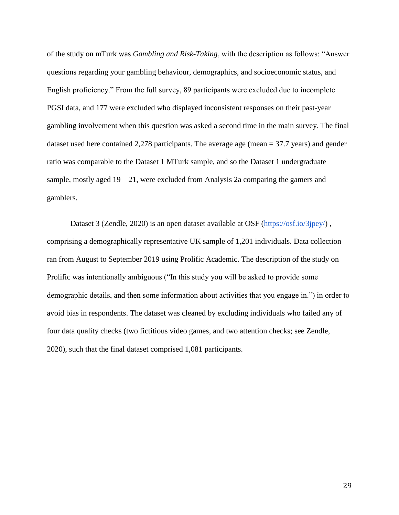of the study on mTurk was *Gambling and Risk-Taking*, with the description as follows: "Answer questions regarding your gambling behaviour, demographics, and socioeconomic status, and English proficiency." From the full survey, 89 participants were excluded due to incomplete PGSI data, and 177 were excluded who displayed inconsistent responses on their past-year gambling involvement when this question was asked a second time in the main survey. The final dataset used here contained 2,278 participants. The average age (mean = 37.7 years) and gender ratio was comparable to the Dataset 1 MTurk sample, and so the Dataset 1 undergraduate sample, mostly aged  $19 - 21$ , were excluded from Analysis 2a comparing the gamers and gamblers.

Dataset 3 (Zendle, 2020) is an open dataset available at OSF [\(https://osf.io/3jpey/\)](https://osf.io/3jpey/), comprising a demographically representative UK sample of 1,201 individuals. Data collection ran from August to September 2019 using Prolific Academic. The description of the study on Prolific was intentionally ambiguous ("In this study you will be asked to provide some demographic details, and then some information about activities that you engage in.") in order to avoid bias in respondents. The dataset was cleaned by excluding individuals who failed any of four data quality checks (two fictitious video games, and two attention checks; see Zendle, 2020), such that the final dataset comprised 1,081 participants.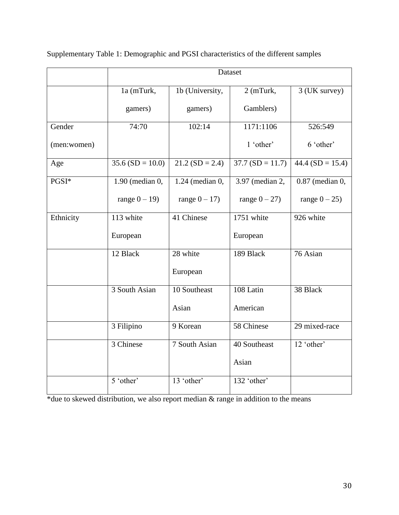|             | Dataset                      |                   |                   |                    |
|-------------|------------------------------|-------------------|-------------------|--------------------|
|             | 1a (mTurk,                   | 1b (University,   | 2 (mTurk,         | 3 (UK survey)      |
|             | gamers)                      | gamers)           | Gamblers)         |                    |
| Gender      | 74:70                        | 102:14            | 1171:1106         | 526:549            |
| (men:women) |                              |                   | 1 'other'         | 6 'other'          |
| Age         | $35.6(SD = 10.0)$            | $21.2(SD = 2.4)$  | $37.7(SD = 11.7)$ | $44.4$ (SD = 15.4) |
| PGSI*       | 1.90 (median $\overline{0,}$ | $1.24$ (median 0, | 3.97 (median 2,   | 0.87 (median 0,    |
|             | range $0 - 19$ )             | range $0 - 17$ )  | range $0-27$ )    | range $0-25$ )     |
| Ethnicity   | 113 white                    | 41 Chinese        | 1751 white        | 926 white          |
|             | European                     |                   | European          |                    |
|             | 12 Black                     | 28 white          | 189 Black         | 76 Asian           |
|             |                              | European          |                   |                    |
|             | 3 South Asian                | 10 Southeast      | 108 Latin         | 38 Black           |
|             |                              | Asian             | American          |                    |
|             | 3 Filipino                   | 9 Korean          | 58 Chinese        | 29 mixed-race      |
|             | 3 Chinese                    | 7 South Asian     | 40 Southeast      | 12 'other'         |
|             |                              |                   | Asian             |                    |
|             | 5 'other'                    | 13 'other'        | 132 'other'       |                    |

Supplementary Table 1: Demographic and PGSI characteristics of the different samples

\*due to skewed distribution, we also report median & range in addition to the means